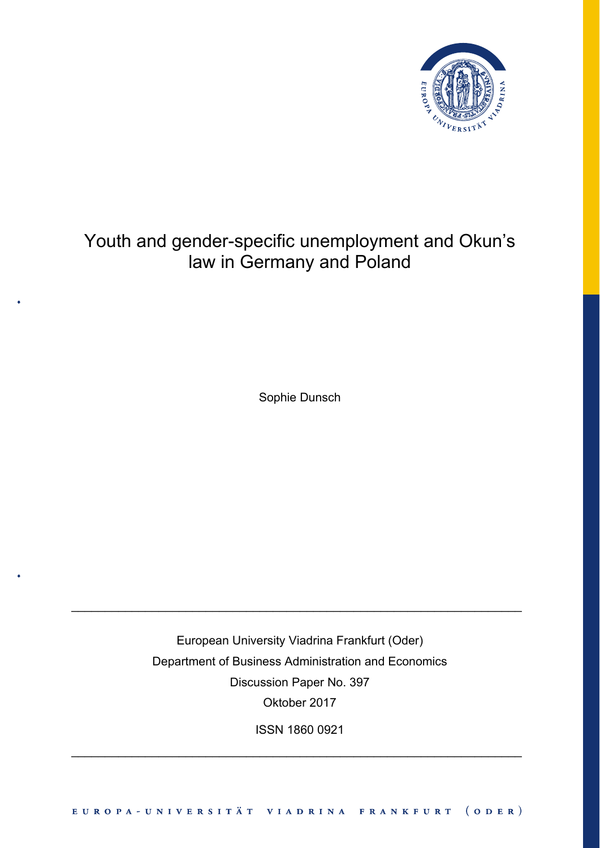

# Youth and gender-specific unemployment and Okun's law in Germany and Poland

Sophie Dunsch

European University Viadrina Frankfurt (Oder) Department of Business Administration and Economics Discussion Paper No. 397 Oktober 2017

\_\_\_\_\_\_\_\_\_\_\_\_\_\_\_\_\_\_\_\_\_\_\_\_\_\_\_\_\_\_\_\_\_\_\_\_\_\_\_\_\_\_\_\_\_\_\_\_\_\_\_\_\_\_\_\_\_\_\_\_\_\_\_\_\_\_\_

ISSN 1860 0921

\_\_\_\_\_\_\_\_\_\_\_\_\_\_\_\_\_\_\_\_\_\_\_\_\_\_\_\_\_\_\_\_\_\_\_\_\_\_\_\_\_\_\_\_\_\_\_\_\_\_\_\_\_\_\_\_\_\_\_\_\_\_\_\_\_\_\_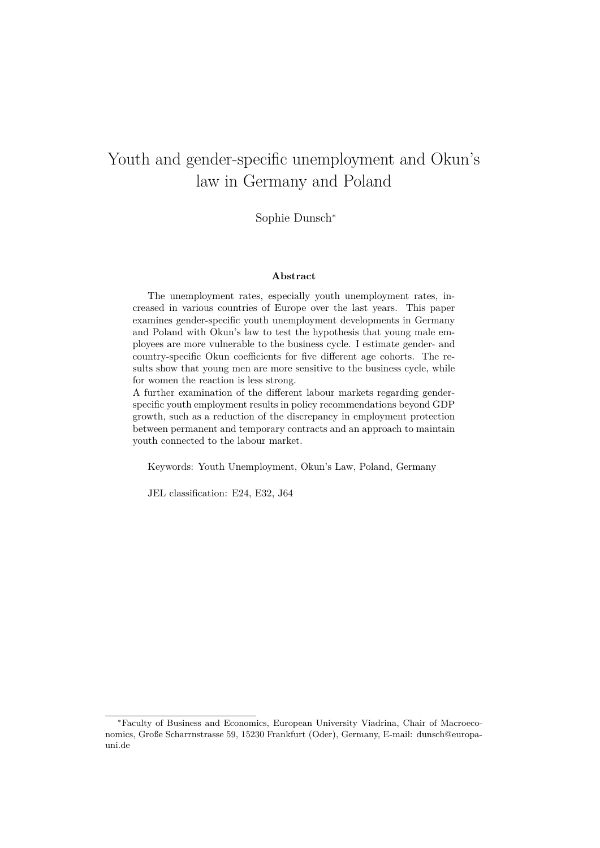## Youth and gender-specific unemployment and Okun's law in Germany and Poland

Sophie Dunsch<sup>∗</sup>

#### **Abstract**

The unemployment rates, especially youth unemployment rates, increased in various countries of Europe over the last years. This paper examines gender-specific youth unemployment developments in Germany and Poland with Okun's law to test the hypothesis that young male employees are more vulnerable to the business cycle. I estimate gender- and country-specific Okun coefficients for five different age cohorts. The results show that young men are more sensitive to the business cycle, while for women the reaction is less strong.

A further examination of the different labour markets regarding genderspecific youth employment results in policy recommendations beyond GDP growth, such as a reduction of the discrepancy in employment protection between permanent and temporary contracts and an approach to maintain youth connected to the labour market.

Keywords: Youth Unemployment, Okun's Law, Poland, Germany

JEL classification: E24, E32, J64

<sup>∗</sup>Faculty of Business and Economics, European University Viadrina, Chair of Macroeconomics, Große Scharrnstrasse 59, 15230 Frankfurt (Oder), Germany, E-mail: dunsch@europauni.de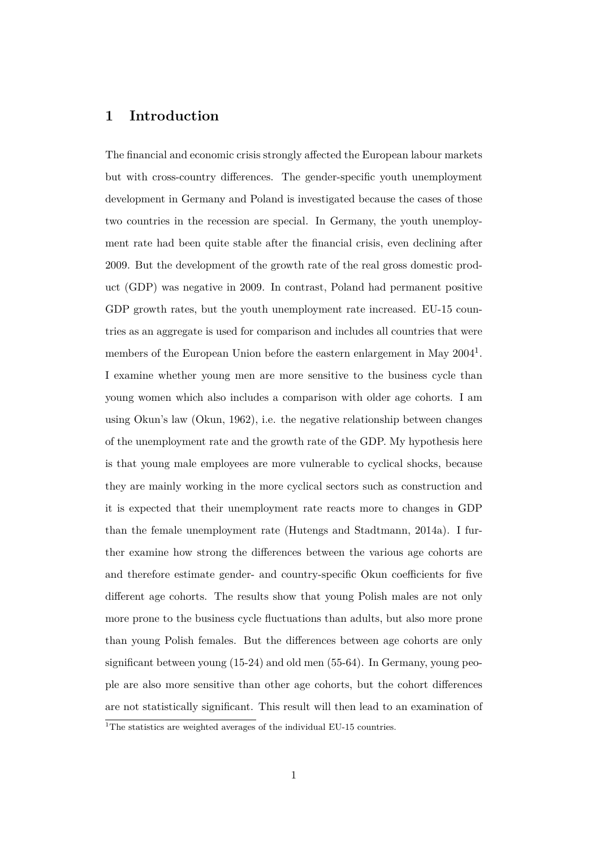## **1 Introduction**

The financial and economic crisis strongly affected the European labour markets but with cross-country differences. The gender-specific youth unemployment development in Germany and Poland is investigated because the cases of those two countries in the recession are special. In Germany, the youth unemployment rate had been quite stable after the financial crisis, even declining after 2009. But the development of the growth rate of the real gross domestic product (GDP) was negative in 2009. In contrast, Poland had permanent positive GDP growth rates, but the youth unemployment rate increased. EU-15 countries as an aggregate is used for comparison and includes all countries that were members of the European Union before the eastern enlargement in May 2004<sup>1</sup>. I examine whether young men are more sensitive to the business cycle than young women which also includes a comparison with older age cohorts. I am using Okun's law (Okun, 1962), i.e. the negative relationship between changes of the unemployment rate and the growth rate of the GDP. My hypothesis here is that young male employees are more vulnerable to cyclical shocks, because they are mainly working in the more cyclical sectors such as construction and it is expected that their unemployment rate reacts more to changes in GDP than the female unemployment rate (Hutengs and Stadtmann, 2014a). I further examine how strong the differences between the various age cohorts are and therefore estimate gender- and country-specific Okun coefficients for five different age cohorts. The results show that young Polish males are not only more prone to the business cycle fluctuations than adults, but also more prone than young Polish females. But the differences between age cohorts are only significant between young (15-24) and old men (55-64). In Germany, young people are also more sensitive than other age cohorts, but the cohort differences are not statistically significant. This result will then lead to an examination of

<sup>&</sup>lt;sup>1</sup>The statistics are weighted averages of the individual EU-15 countries.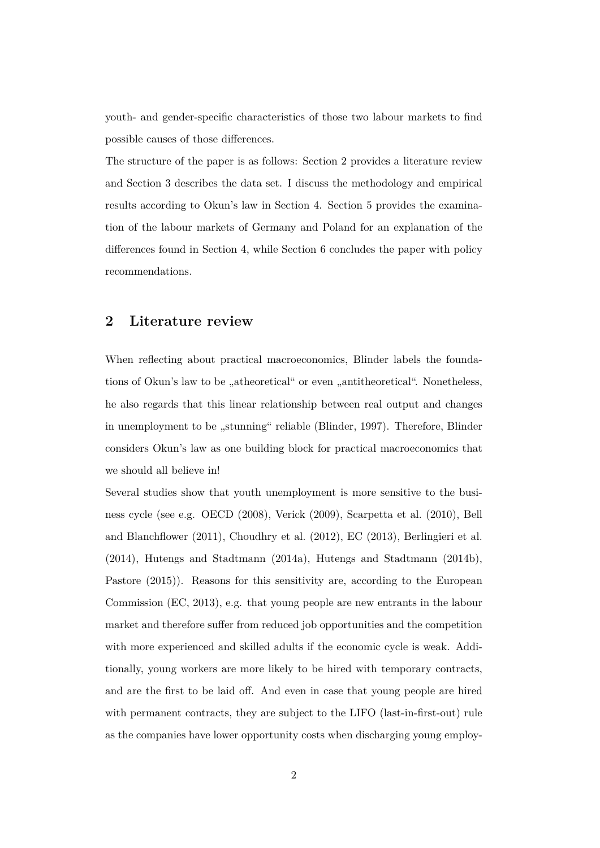youth- and gender-specific characteristics of those two labour markets to find possible causes of those differences.

The structure of the paper is as follows: Section 2 provides a literature review and Section 3 describes the data set. I discuss the methodology and empirical results according to Okun's law in Section 4. Section 5 provides the examination of the labour markets of Germany and Poland for an explanation of the differences found in Section 4, while Section 6 concludes the paper with policy recommendations.

#### **2 Literature review**

When reflecting about practical macroeconomics, Blinder labels the foundations of Okun's law to be "atheoretical" or even "antitheoretical". Nonetheless, he also regards that this linear relationship between real output and changes in unemployment to be "stunning" reliable (Blinder, 1997). Therefore, Blinder considers Okun's law as one building block for practical macroeconomics that we should all believe in!

Several studies show that youth unemployment is more sensitive to the business cycle (see e.g. OECD (2008), Verick (2009), Scarpetta et al. (2010), Bell and Blanchflower (2011), Choudhry et al. (2012), EC (2013), Berlingieri et al. (2014), Hutengs and Stadtmann (2014a), Hutengs and Stadtmann (2014b), Pastore (2015)). Reasons for this sensitivity are, according to the European Commission (EC, 2013), e.g. that young people are new entrants in the labour market and therefore suffer from reduced job opportunities and the competition with more experienced and skilled adults if the economic cycle is weak. Additionally, young workers are more likely to be hired with temporary contracts, and are the first to be laid off. And even in case that young people are hired with permanent contracts, they are subject to the LIFO (last-in-first-out) rule as the companies have lower opportunity costs when discharging young employ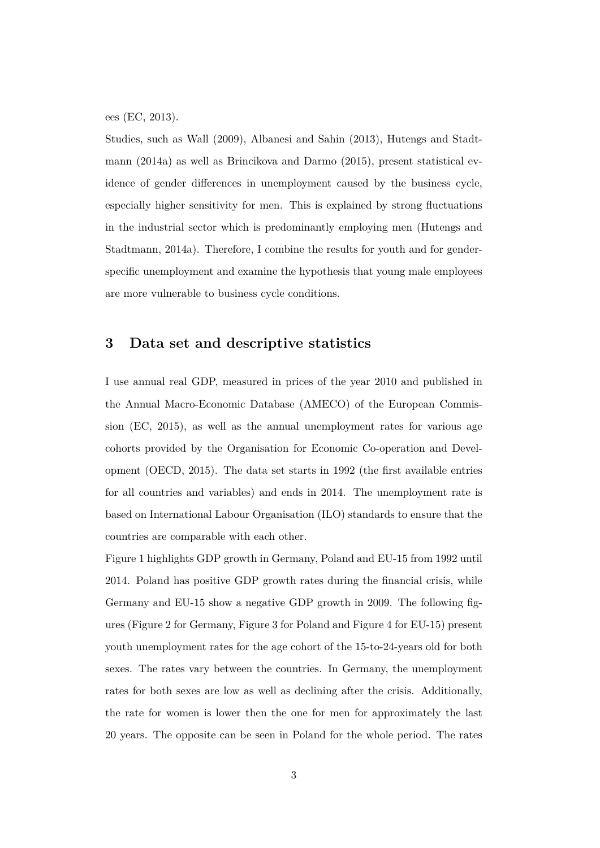ees (EC, 2013).

Studies, such as Wall (2009), Albanesi and Sahin (2013), Hutengs and Stadtmann (2014a) as well as Brincikova and Darmo (2015), present statistical evidence of gender differences in unemployment caused by the business cycle, especially higher sensitivity for men. This is explained by strong fluctuations in the industrial sector which is predominantly employing men (Hutengs and Stadtmann, 2014a). Therefore, I combine the results for youth and for genderspecific unemployment and examine the hypothesis that young male employees are more vulnerable to business cycle conditions.

## **3 Data set and descriptive statistics**

I use annual real GDP, measured in prices of the year 2010 and published in the Annual Macro-Economic Database (AMECO) of the European Commission (EC, 2015), as well as the annual unemployment rates for various age cohorts provided by the Organisation for Economic Co-operation and Development (OECD, 2015). The data set starts in 1992 (the first available entries for all countries and variables) and ends in 2014. The unemployment rate is based on International Labour Organisation (ILO) standards to ensure that the countries are comparable with each other.

Figure 1 highlights GDP growth in Germany, Poland and EU-15 from 1992 until 2014. Poland has positive GDP growth rates during the financial crisis, while Germany and EU-15 show a negative GDP growth in 2009. The following figures (Figure 2 for Germany, Figure 3 for Poland and Figure 4 for EU-15) present youth unemployment rates for the age cohort of the 15-to-24-years old for both sexes. The rates vary between the countries. In Germany, the unemployment rates for both sexes are low as well as declining after the crisis. Additionally, the rate for women is lower then the one for men for approximately the last 20 years. The opposite can be seen in Poland for the whole period. The rates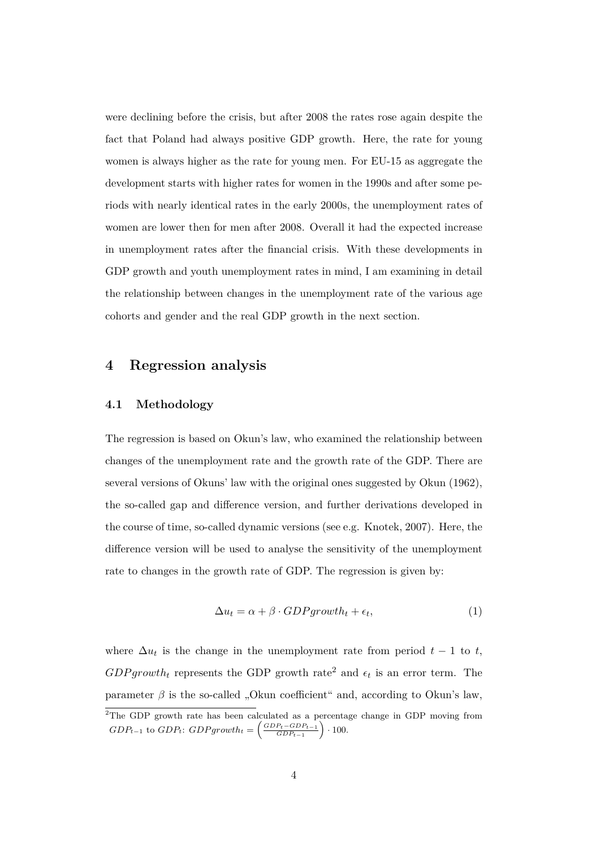were declining before the crisis, but after 2008 the rates rose again despite the fact that Poland had always positive GDP growth. Here, the rate for young women is always higher as the rate for young men. For EU-15 as aggregate the development starts with higher rates for women in the 1990s and after some periods with nearly identical rates in the early 2000s, the unemployment rates of women are lower then for men after 2008. Overall it had the expected increase in unemployment rates after the financial crisis. With these developments in GDP growth and youth unemployment rates in mind, I am examining in detail the relationship between changes in the unemployment rate of the various age cohorts and gender and the real GDP growth in the next section.

#### **4 Regression analysis**

#### **4.1 Methodology**

The regression is based on Okun's law, who examined the relationship between changes of the unemployment rate and the growth rate of the GDP. There are several versions of Okuns' law with the original ones suggested by Okun (1962), the so-called gap and difference version, and further derivations developed in the course of time, so-called dynamic versions (see e.g. Knotek, 2007). Here, the difference version will be used to analyse the sensitivity of the unemployment rate to changes in the growth rate of GDP. The regression is given by:

$$
\Delta u_t = \alpha + \beta \cdot GDPgrowth_t + \epsilon_t,\tag{1}
$$

where  $\Delta u_t$  is the change in the unemployment rate from period  $t-1$  to  $t$ ,  $GDP growth_t$  represents the GDP growth rate<sup>2</sup> and  $\epsilon_t$  is an error term. The parameter  $\beta$  is the so-called "Okun coefficient" and, according to Okun's law,

<sup>2</sup>The GDP growth rate has been calculated as a percentage change in GDP moving from  $GDP_{t-1}$  to  $GDP_t$ :  $GDP_{growth_t} = \left(\frac{GDP_t - GDP_{t-1}}{GDP_{t-1}}\right) \cdot 100$ .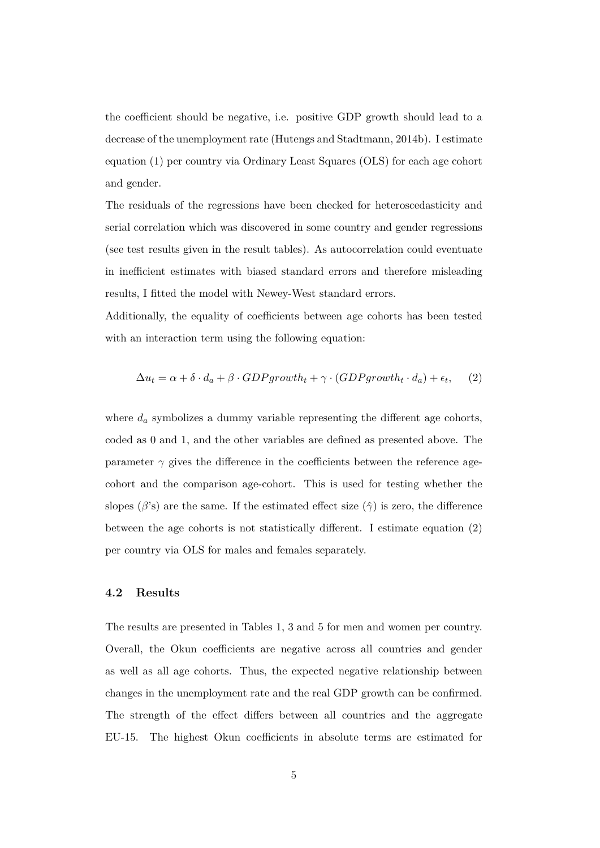the coefficient should be negative, i.e. positive GDP growth should lead to a decrease of the unemployment rate (Hutengs and Stadtmann, 2014b). I estimate equation (1) per country via Ordinary Least Squares (OLS) for each age cohort and gender.

The residuals of the regressions have been checked for heteroscedasticity and serial correlation which was discovered in some country and gender regressions (see test results given in the result tables). As autocorrelation could eventuate in inefficient estimates with biased standard errors and therefore misleading results, I fitted the model with Newey-West standard errors.

Additionally, the equality of coefficients between age cohorts has been tested with an interaction term using the following equation:

$$
\Delta u_t = \alpha + \delta \cdot d_a + \beta \cdot GDPgrowth_t + \gamma \cdot (GDPgrowth_t \cdot d_a) + \epsilon_t, \quad (2)
$$

where *d<sup>a</sup>* symbolizes a dummy variable representing the different age cohorts, coded as 0 and 1, and the other variables are defined as presented above. The parameter  $\gamma$  gives the difference in the coefficients between the reference agecohort and the comparison age-cohort. This is used for testing whether the slopes ( $\beta$ 's) are the same. If the estimated effect size ( $\hat{\gamma}$ ) is zero, the difference between the age cohorts is not statistically different. I estimate equation (2) per country via OLS for males and females separately.

#### **4.2 Results**

The results are presented in Tables 1, 3 and 5 for men and women per country. Overall, the Okun coefficients are negative across all countries and gender as well as all age cohorts. Thus, the expected negative relationship between changes in the unemployment rate and the real GDP growth can be confirmed. The strength of the effect differs between all countries and the aggregate EU-15. The highest Okun coefficients in absolute terms are estimated for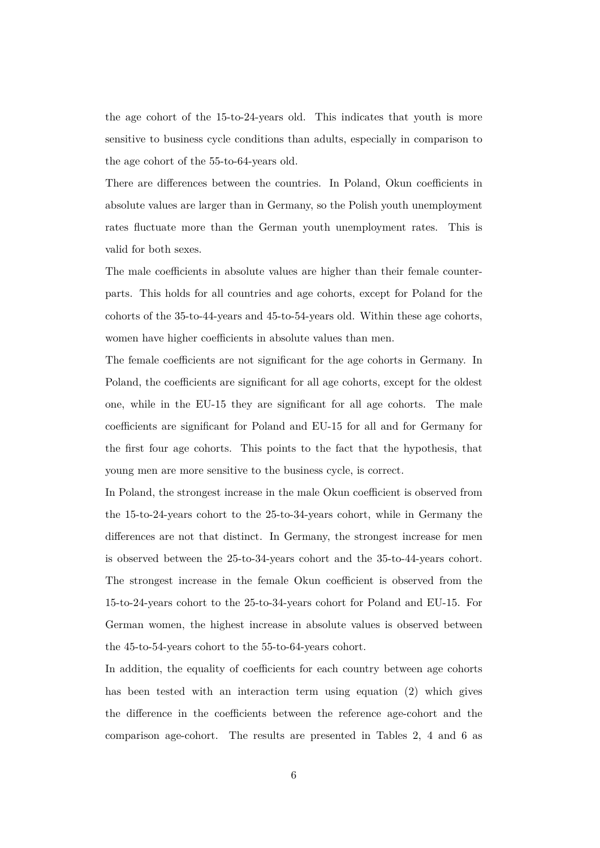the age cohort of the 15-to-24-years old. This indicates that youth is more sensitive to business cycle conditions than adults, especially in comparison to the age cohort of the 55-to-64-years old.

There are differences between the countries. In Poland, Okun coefficients in absolute values are larger than in Germany, so the Polish youth unemployment rates fluctuate more than the German youth unemployment rates. This is valid for both sexes.

The male coefficients in absolute values are higher than their female counterparts. This holds for all countries and age cohorts, except for Poland for the cohorts of the 35-to-44-years and 45-to-54-years old. Within these age cohorts, women have higher coefficients in absolute values than men.

The female coefficients are not significant for the age cohorts in Germany. In Poland, the coefficients are significant for all age cohorts, except for the oldest one, while in the EU-15 they are significant for all age cohorts. The male coefficients are significant for Poland and EU-15 for all and for Germany for the first four age cohorts. This points to the fact that the hypothesis, that young men are more sensitive to the business cycle, is correct.

In Poland, the strongest increase in the male Okun coefficient is observed from the 15-to-24-years cohort to the 25-to-34-years cohort, while in Germany the differences are not that distinct. In Germany, the strongest increase for men is observed between the 25-to-34-years cohort and the 35-to-44-years cohort. The strongest increase in the female Okun coefficient is observed from the 15-to-24-years cohort to the 25-to-34-years cohort for Poland and EU-15. For German women, the highest increase in absolute values is observed between the 45-to-54-years cohort to the 55-to-64-years cohort.

In addition, the equality of coefficients for each country between age cohorts has been tested with an interaction term using equation (2) which gives the difference in the coefficients between the reference age-cohort and the comparison age-cohort. The results are presented in Tables 2, 4 and 6 as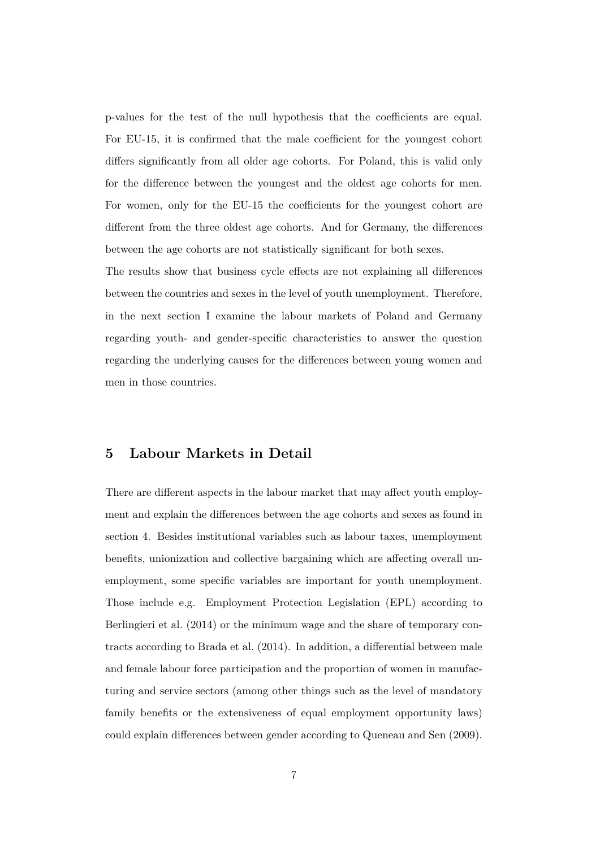p-values for the test of the null hypothesis that the coefficients are equal. For EU-15, it is confirmed that the male coefficient for the youngest cohort differs significantly from all older age cohorts. For Poland, this is valid only for the difference between the youngest and the oldest age cohorts for men. For women, only for the EU-15 the coefficients for the youngest cohort are different from the three oldest age cohorts. And for Germany, the differences between the age cohorts are not statistically significant for both sexes.

The results show that business cycle effects are not explaining all differences between the countries and sexes in the level of youth unemployment. Therefore, in the next section I examine the labour markets of Poland and Germany regarding youth- and gender-specific characteristics to answer the question regarding the underlying causes for the differences between young women and men in those countries.

### **5 Labour Markets in Detail**

There are different aspects in the labour market that may affect youth employment and explain the differences between the age cohorts and sexes as found in section 4. Besides institutional variables such as labour taxes, unemployment benefits, unionization and collective bargaining which are affecting overall unemployment, some specific variables are important for youth unemployment. Those include e.g. Employment Protection Legislation (EPL) according to Berlingieri et al. (2014) or the minimum wage and the share of temporary contracts according to Brada et al. (2014). In addition, a differential between male and female labour force participation and the proportion of women in manufacturing and service sectors (among other things such as the level of mandatory family benefits or the extensiveness of equal employment opportunity laws) could explain differences between gender according to Queneau and Sen (2009).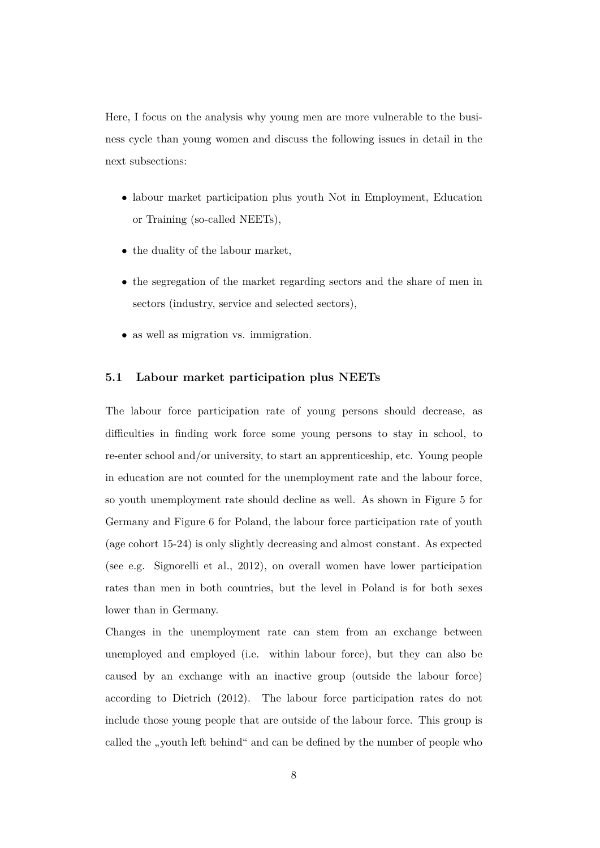Here, I focus on the analysis why young men are more vulnerable to the business cycle than young women and discuss the following issues in detail in the next subsections:

- labour market participation plus youth Not in Employment, Education or Training (so-called NEETs),
- the duality of the labour market,
- the segregation of the market regarding sectors and the share of men in sectors (industry, service and selected sectors),
- as well as migration vs. immigration.

#### **5.1 Labour market participation plus NEETs**

The labour force participation rate of young persons should decrease, as difficulties in finding work force some young persons to stay in school, to re-enter school and/or university, to start an apprenticeship, etc. Young people in education are not counted for the unemployment rate and the labour force, so youth unemployment rate should decline as well. As shown in Figure 5 for Germany and Figure 6 for Poland, the labour force participation rate of youth (age cohort 15-24) is only slightly decreasing and almost constant. As expected (see e.g. Signorelli et al., 2012), on overall women have lower participation rates than men in both countries, but the level in Poland is for both sexes lower than in Germany.

Changes in the unemployment rate can stem from an exchange between unemployed and employed (i.e. within labour force), but they can also be caused by an exchange with an inactive group (outside the labour force) according to Dietrich (2012). The labour force participation rates do not include those young people that are outside of the labour force. This group is called the "youth left behind" and can be defined by the number of people who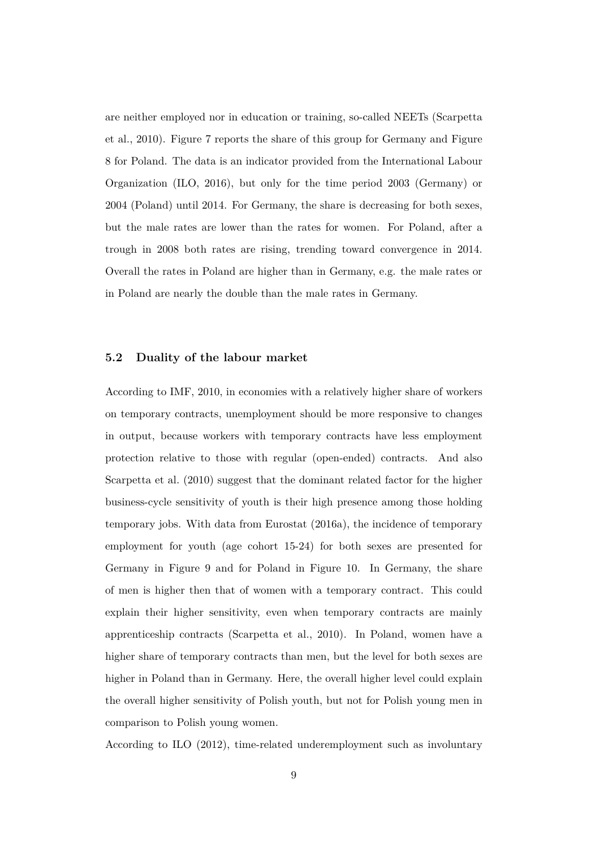are neither employed nor in education or training, so-called NEETs (Scarpetta et al., 2010). Figure 7 reports the share of this group for Germany and Figure 8 for Poland. The data is an indicator provided from the International Labour Organization (ILO, 2016), but only for the time period 2003 (Germany) or 2004 (Poland) until 2014. For Germany, the share is decreasing for both sexes, but the male rates are lower than the rates for women. For Poland, after a trough in 2008 both rates are rising, trending toward convergence in 2014. Overall the rates in Poland are higher than in Germany, e.g. the male rates or in Poland are nearly the double than the male rates in Germany.

#### **5.2 Duality of the labour market**

According to IMF, 2010, in economies with a relatively higher share of workers on temporary contracts, unemployment should be more responsive to changes in output, because workers with temporary contracts have less employment protection relative to those with regular (open-ended) contracts. And also Scarpetta et al. (2010) suggest that the dominant related factor for the higher business-cycle sensitivity of youth is their high presence among those holding temporary jobs. With data from Eurostat (2016a), the incidence of temporary employment for youth (age cohort 15-24) for both sexes are presented for Germany in Figure 9 and for Poland in Figure 10. In Germany, the share of men is higher then that of women with a temporary contract. This could explain their higher sensitivity, even when temporary contracts are mainly apprenticeship contracts (Scarpetta et al., 2010). In Poland, women have a higher share of temporary contracts than men, but the level for both sexes are higher in Poland than in Germany. Here, the overall higher level could explain the overall higher sensitivity of Polish youth, but not for Polish young men in comparison to Polish young women.

According to ILO (2012), time-related underemployment such as involuntary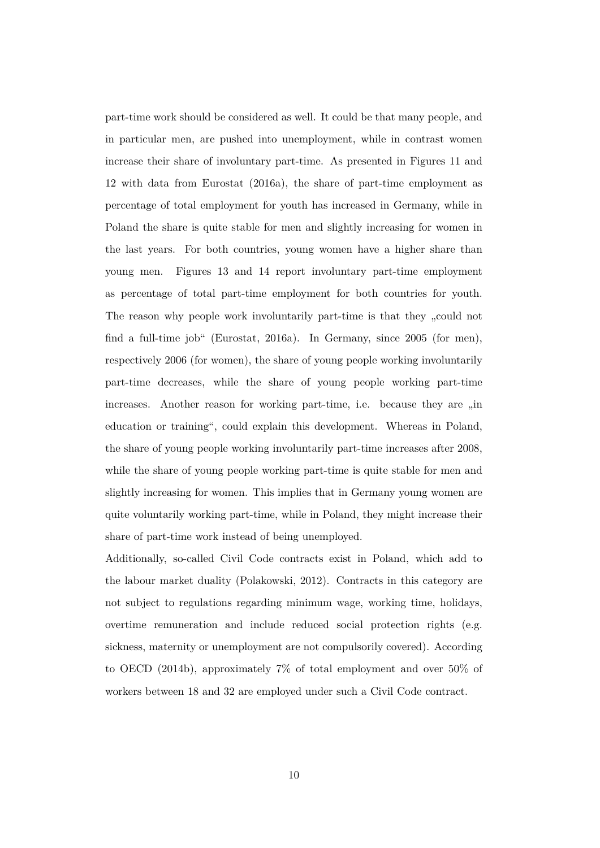part-time work should be considered as well. It could be that many people, and in particular men, are pushed into unemployment, while in contrast women increase their share of involuntary part-time. As presented in Figures 11 and 12 with data from Eurostat (2016a), the share of part-time employment as percentage of total employment for youth has increased in Germany, while in Poland the share is quite stable for men and slightly increasing for women in the last years. For both countries, young women have a higher share than young men. Figures 13 and 14 report involuntary part-time employment as percentage of total part-time employment for both countries for youth. The reason why people work involuntarily part-time is that they ...could not find a full-time job" (Eurostat, 2016a). In Germany, since 2005 (for men), respectively 2006 (for women), the share of young people working involuntarily part-time decreases, while the share of young people working part-time increases. Another reason for working part-time, i.e. because they are "in education or training", could explain this development. Whereas in Poland, the share of young people working involuntarily part-time increases after 2008, while the share of young people working part-time is quite stable for men and slightly increasing for women. This implies that in Germany young women are quite voluntarily working part-time, while in Poland, they might increase their share of part-time work instead of being unemployed.

Additionally, so-called Civil Code contracts exist in Poland, which add to the labour market duality (Polakowski, 2012). Contracts in this category are not subject to regulations regarding minimum wage, working time, holidays, overtime remuneration and include reduced social protection rights (e.g. sickness, maternity or unemployment are not compulsorily covered). According to OECD (2014b), approximately 7% of total employment and over 50% of workers between 18 and 32 are employed under such a Civil Code contract.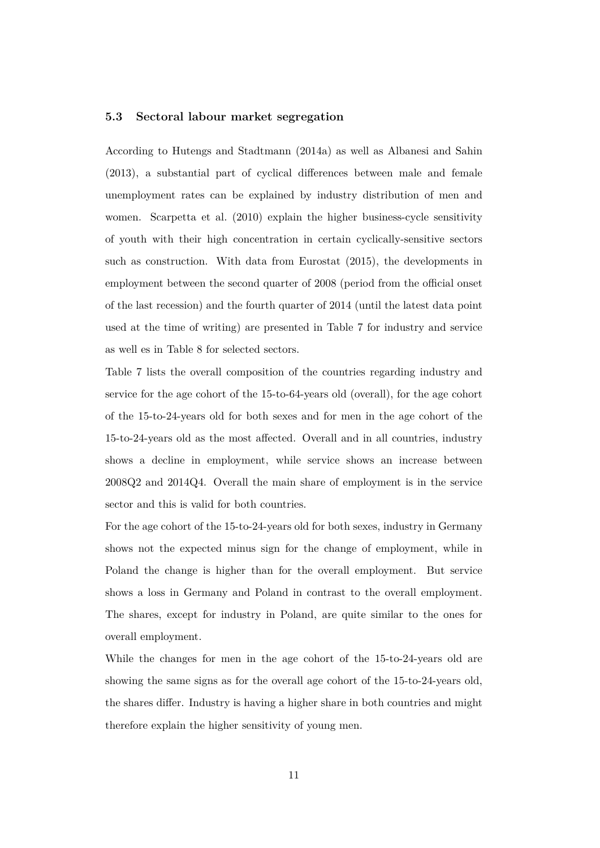#### **5.3 Sectoral labour market segregation**

According to Hutengs and Stadtmann (2014a) as well as Albanesi and Sahin (2013), a substantial part of cyclical differences between male and female unemployment rates can be explained by industry distribution of men and women. Scarpetta et al. (2010) explain the higher business-cycle sensitivity of youth with their high concentration in certain cyclically-sensitive sectors such as construction. With data from Eurostat (2015), the developments in employment between the second quarter of 2008 (period from the official onset of the last recession) and the fourth quarter of 2014 (until the latest data point used at the time of writing) are presented in Table 7 for industry and service as well es in Table 8 for selected sectors.

Table 7 lists the overall composition of the countries regarding industry and service for the age cohort of the 15-to-64-years old (overall), for the age cohort of the 15-to-24-years old for both sexes and for men in the age cohort of the 15-to-24-years old as the most affected. Overall and in all countries, industry shows a decline in employment, while service shows an increase between 2008Q2 and 2014Q4. Overall the main share of employment is in the service sector and this is valid for both countries.

For the age cohort of the 15-to-24-years old for both sexes, industry in Germany shows not the expected minus sign for the change of employment, while in Poland the change is higher than for the overall employment. But service shows a loss in Germany and Poland in contrast to the overall employment. The shares, except for industry in Poland, are quite similar to the ones for overall employment.

While the changes for men in the age cohort of the 15-to-24-years old are showing the same signs as for the overall age cohort of the 15-to-24-years old, the shares differ. Industry is having a higher share in both countries and might therefore explain the higher sensitivity of young men.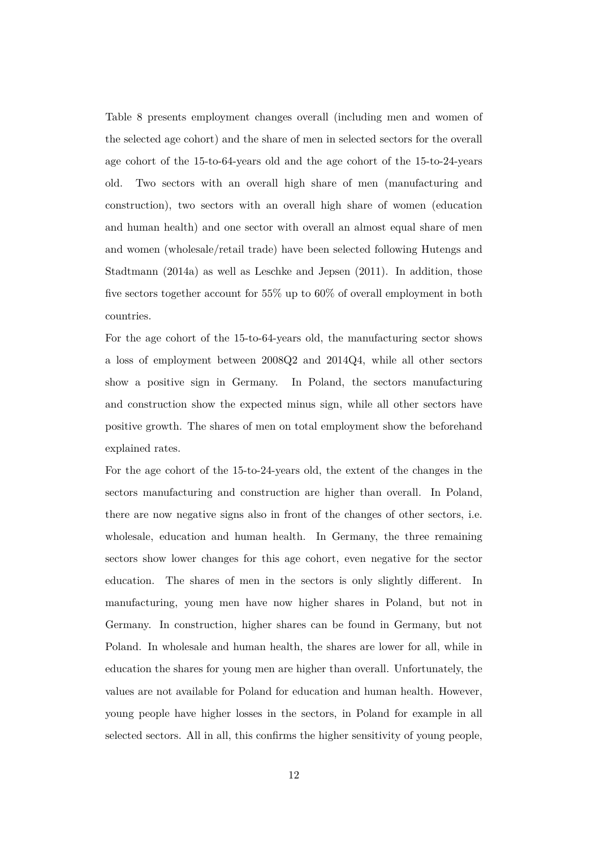Table 8 presents employment changes overall (including men and women of the selected age cohort) and the share of men in selected sectors for the overall age cohort of the 15-to-64-years old and the age cohort of the 15-to-24-years old. Two sectors with an overall high share of men (manufacturing and construction), two sectors with an overall high share of women (education and human health) and one sector with overall an almost equal share of men and women (wholesale/retail trade) have been selected following Hutengs and Stadtmann (2014a) as well as Leschke and Jepsen (2011). In addition, those five sectors together account for 55% up to 60% of overall employment in both countries.

For the age cohort of the 15-to-64-years old, the manufacturing sector shows a loss of employment between 2008Q2 and 2014Q4, while all other sectors show a positive sign in Germany. In Poland, the sectors manufacturing and construction show the expected minus sign, while all other sectors have positive growth. The shares of men on total employment show the beforehand explained rates.

For the age cohort of the 15-to-24-years old, the extent of the changes in the sectors manufacturing and construction are higher than overall. In Poland, there are now negative signs also in front of the changes of other sectors, i.e. wholesale, education and human health. In Germany, the three remaining sectors show lower changes for this age cohort, even negative for the sector education. The shares of men in the sectors is only slightly different. In manufacturing, young men have now higher shares in Poland, but not in Germany. In construction, higher shares can be found in Germany, but not Poland. In wholesale and human health, the shares are lower for all, while in education the shares for young men are higher than overall. Unfortunately, the values are not available for Poland for education and human health. However, young people have higher losses in the sectors, in Poland for example in all selected sectors. All in all, this confirms the higher sensitivity of young people,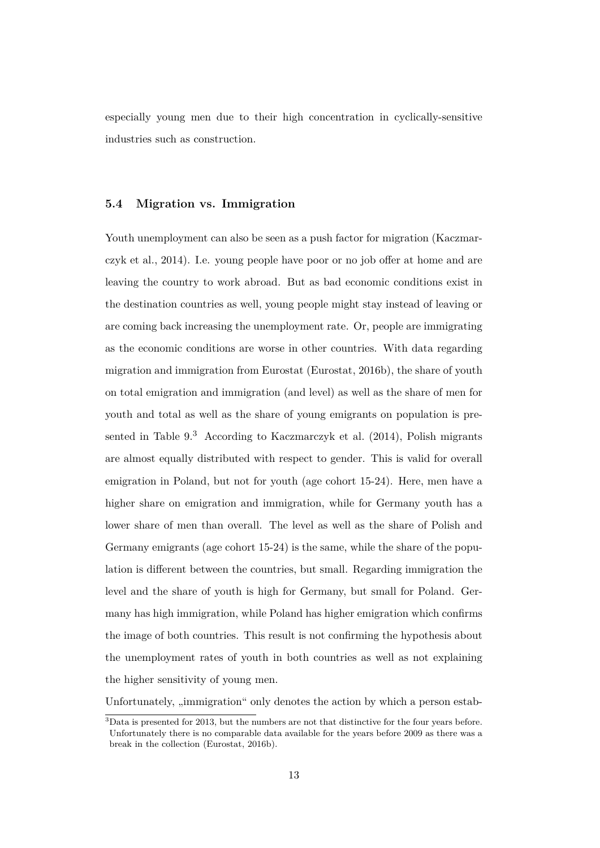especially young men due to their high concentration in cyclically-sensitive industries such as construction.

#### **5.4 Migration vs. Immigration**

Youth unemployment can also be seen as a push factor for migration (Kaczmarczyk et al., 2014). I.e. young people have poor or no job offer at home and are leaving the country to work abroad. But as bad economic conditions exist in the destination countries as well, young people might stay instead of leaving or are coming back increasing the unemployment rate. Or, people are immigrating as the economic conditions are worse in other countries. With data regarding migration and immigration from Eurostat (Eurostat, 2016b), the share of youth on total emigration and immigration (and level) as well as the share of men for youth and total as well as the share of young emigrants on population is presented in Table 9.<sup>3</sup> According to Kaczmarczyk et al. (2014), Polish migrants are almost equally distributed with respect to gender. This is valid for overall emigration in Poland, but not for youth (age cohort 15-24). Here, men have a higher share on emigration and immigration, while for Germany youth has a lower share of men than overall. The level as well as the share of Polish and Germany emigrants (age cohort 15-24) is the same, while the share of the population is different between the countries, but small. Regarding immigration the level and the share of youth is high for Germany, but small for Poland. Germany has high immigration, while Poland has higher emigration which confirms the image of both countries. This result is not confirming the hypothesis about the unemployment rates of youth in both countries as well as not explaining the higher sensitivity of young men.

Unfortunately, "immigration" only denotes the action by which a person estab-

<sup>&</sup>lt;sup>3</sup>Data is presented for 2013, but the numbers are not that distinctive for the four years before. Unfortunately there is no comparable data available for the years before 2009 as there was a break in the collection (Eurostat, 2016b).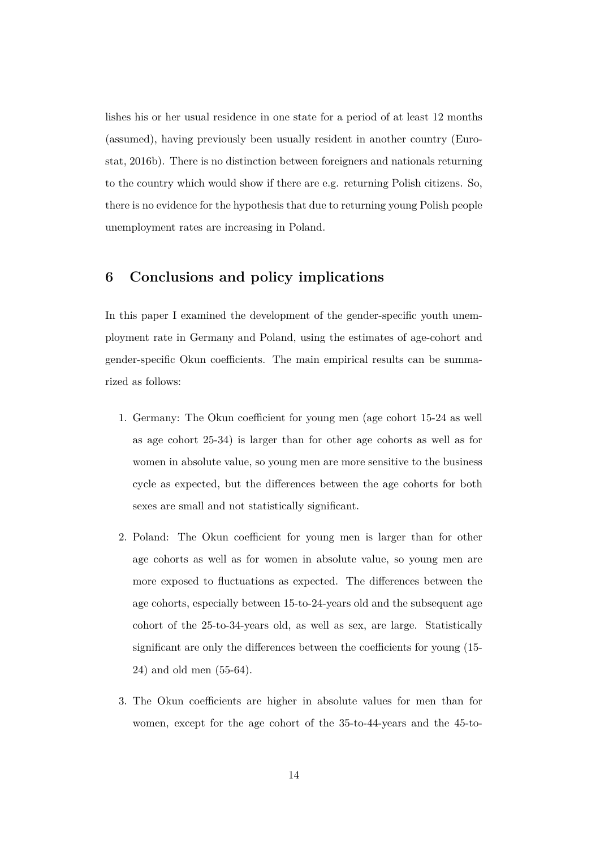lishes his or her usual residence in one state for a period of at least 12 months (assumed), having previously been usually resident in another country (Eurostat, 2016b). There is no distinction between foreigners and nationals returning to the country which would show if there are e.g. returning Polish citizens. So, there is no evidence for the hypothesis that due to returning young Polish people unemployment rates are increasing in Poland.

## **6 Conclusions and policy implications**

In this paper I examined the development of the gender-specific youth unemployment rate in Germany and Poland, using the estimates of age-cohort and gender-specific Okun coefficients. The main empirical results can be summarized as follows:

- 1. Germany: The Okun coefficient for young men (age cohort 15-24 as well as age cohort 25-34) is larger than for other age cohorts as well as for women in absolute value, so young men are more sensitive to the business cycle as expected, but the differences between the age cohorts for both sexes are small and not statistically significant.
- 2. Poland: The Okun coefficient for young men is larger than for other age cohorts as well as for women in absolute value, so young men are more exposed to fluctuations as expected. The differences between the age cohorts, especially between 15-to-24-years old and the subsequent age cohort of the 25-to-34-years old, as well as sex, are large. Statistically significant are only the differences between the coefficients for young (15- 24) and old men (55-64).
- 3. The Okun coefficients are higher in absolute values for men than for women, except for the age cohort of the 35-to-44-years and the 45-to-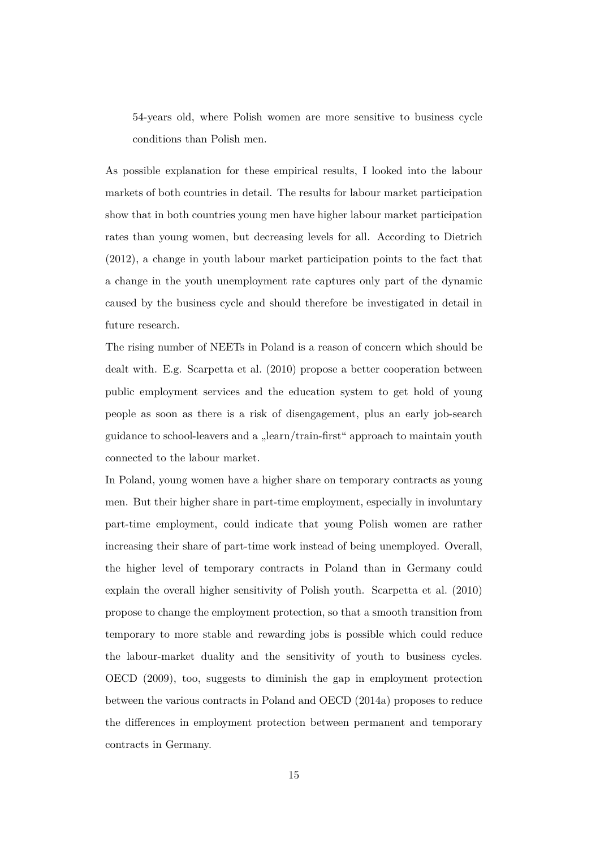54-years old, where Polish women are more sensitive to business cycle conditions than Polish men.

As possible explanation for these empirical results, I looked into the labour markets of both countries in detail. The results for labour market participation show that in both countries young men have higher labour market participation rates than young women, but decreasing levels for all. According to Dietrich (2012), a change in youth labour market participation points to the fact that a change in the youth unemployment rate captures only part of the dynamic caused by the business cycle and should therefore be investigated in detail in future research.

The rising number of NEETs in Poland is a reason of concern which should be dealt with. E.g. Scarpetta et al. (2010) propose a better cooperation between public employment services and the education system to get hold of young people as soon as there is a risk of disengagement, plus an early job-search guidance to school-leavers and a "learn/train-first" approach to maintain youth connected to the labour market.

In Poland, young women have a higher share on temporary contracts as young men. But their higher share in part-time employment, especially in involuntary part-time employment, could indicate that young Polish women are rather increasing their share of part-time work instead of being unemployed. Overall, the higher level of temporary contracts in Poland than in Germany could explain the overall higher sensitivity of Polish youth. Scarpetta et al. (2010) propose to change the employment protection, so that a smooth transition from temporary to more stable and rewarding jobs is possible which could reduce the labour-market duality and the sensitivity of youth to business cycles. OECD (2009), too, suggests to diminish the gap in employment protection between the various contracts in Poland and OECD (2014a) proposes to reduce the differences in employment protection between permanent and temporary contracts in Germany.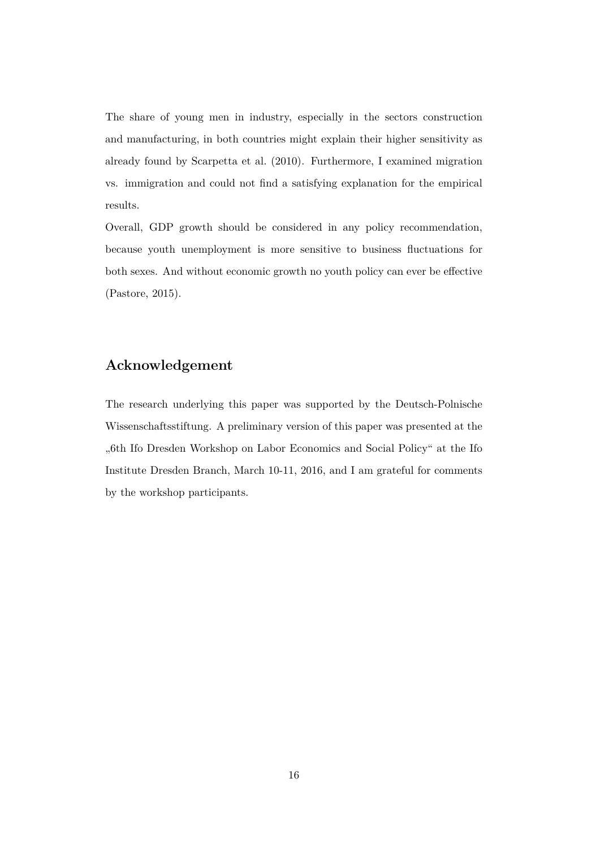The share of young men in industry, especially in the sectors construction and manufacturing, in both countries might explain their higher sensitivity as already found by Scarpetta et al. (2010). Furthermore, I examined migration vs. immigration and could not find a satisfying explanation for the empirical results.

Overall, GDP growth should be considered in any policy recommendation, because youth unemployment is more sensitive to business fluctuations for both sexes. And without economic growth no youth policy can ever be effective (Pastore, 2015).

## **Acknowledgement**

The research underlying this paper was supported by the Deutsch-Polnische Wissenschaftsstiftung. A preliminary version of this paper was presented at the "6th Ifo Dresden Workshop on Labor Economics and Social Policy" at the Ifo Institute Dresden Branch, March 10-11, 2016, and I am grateful for comments by the workshop participants.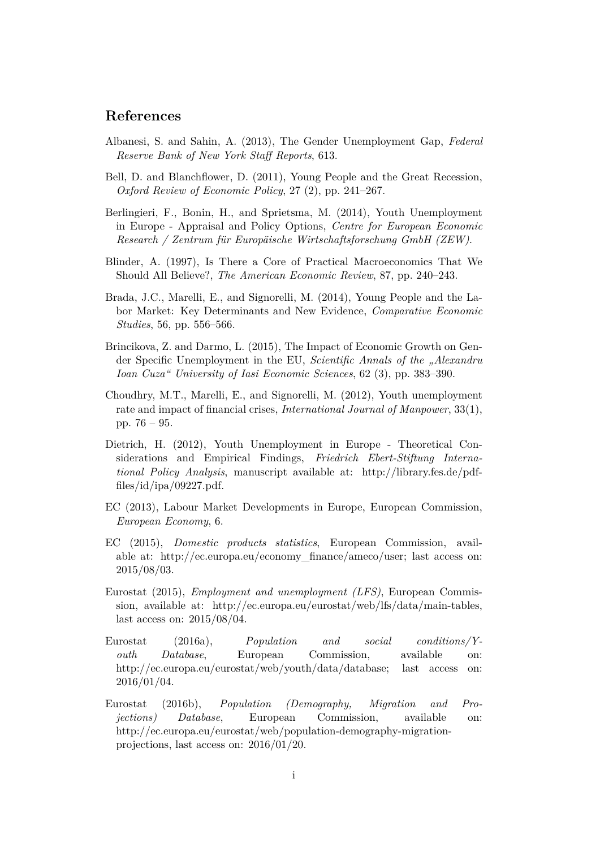## **References**

- Albanesi, S. and Sahin, A. (2013), The Gender Unemployment Gap, *Federal Reserve Bank of New York Staff Reports*, 613.
- Bell, D. and Blanchflower, D. (2011), Young People and the Great Recession, *Oxford Review of Economic Policy*, 27 (2), pp. 241–267.
- Berlingieri, F., Bonin, H., and Sprietsma, M. (2014), Youth Unemployment in Europe - Appraisal and Policy Options, *Centre for European Economic Research / Zentrum für Europäische Wirtschaftsforschung GmbH (ZEW)*.
- Blinder, A. (1997), Is There a Core of Practical Macroeconomics That We Should All Believe?, *The American Economic Review*, 87, pp. 240–243.
- Brada, J.C., Marelli, E., and Signorelli, M. (2014), Young People and the Labor Market: Key Determinants and New Evidence, *Comparative Economic Studies*, 56, pp. 556–566.
- Brincikova, Z. and Darmo, L. (2015), The Impact of Economic Growth on Gender Specific Unemployment in the EU, *Scientific Annals of the "Alexandru Ioan Cuza" University of Iasi Economic Sciences*, 62 (3), pp. 383–390.
- Choudhry, M.T., Marelli, E., and Signorelli, M. (2012), Youth unemployment rate and impact of financial crises, *International Journal of Manpower*, 33(1), pp. 76 – 95.
- Dietrich, H. (2012), Youth Unemployment in Europe Theoretical Considerations and Empirical Findings, *Friedrich Ebert-Stiftung International Policy Analysis*, manuscript available at: http://library.fes.de/pdffiles/id/ipa/09227.pdf.
- EC (2013), Labour Market Developments in Europe, European Commission, *European Economy*, 6.
- EC (2015), *Domestic products statistics*, European Commission, available at: http://ec.europa.eu/economy\_finance/ameco/user; last access on: 2015/08/03.
- Eurostat (2015), *Employment and unemployment (LFS)*, European Commission, available at: http://ec.europa.eu/eurostat/web/lfs/data/main-tables, last access on: 2015/08/04.
- Eurostat (2016a), *Population and social conditions/Youth Database*, European Commission, available on: http://ec.europa.eu/eurostat/web/youth/data/database; last access on: 2016/01/04.
- Eurostat (2016b), *Population (Demography, Migration and Projections) Database*, European Commission, available on: http://ec.europa.eu/eurostat/web/population-demography-migrationprojections, last access on: 2016/01/20.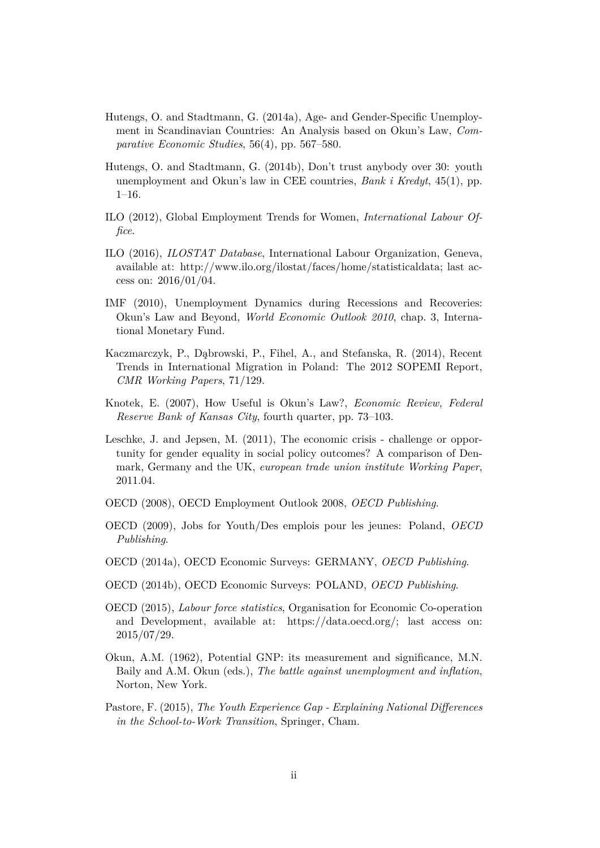- Hutengs, O. and Stadtmann, G. (2014a), Age- and Gender-Specific Unemployment in Scandinavian Countries: An Analysis based on Okun's Law, *Comparative Economic Studies*, 56(4), pp. 567–580.
- Hutengs, O. and Stadtmann, G. (2014b), Don't trust anybody over 30: youth unemployment and Okun's law in CEE countries, *Bank i Kredyt*, 45(1), pp. 1–16.
- ILO (2012), Global Employment Trends for Women, *International Labour Office*.
- ILO (2016), *ILOSTAT Database*, International Labour Organization, Geneva, available at: http://www.ilo.org/ilostat/faces/home/statisticaldata; last access on: 2016/01/04.
- IMF (2010), Unemployment Dynamics during Recessions and Recoveries: Okun's Law and Beyond, *World Economic Outlook 2010*, chap. 3, International Monetary Fund.
- Kaczmarczyk, P., Dąbrowski, P., Fihel, A., and Stefanska, R. (2014), Recent Trends in International Migration in Poland: The 2012 SOPEMI Report, *CMR Working Papers*, 71/129.
- Knotek, E. (2007), How Useful is Okun's Law?, *Economic Review, Federal Reserve Bank of Kansas City*, fourth quarter, pp. 73–103.
- Leschke, J. and Jepsen, M. (2011), The economic crisis challenge or opportunity for gender equality in social policy outcomes? A comparison of Denmark, Germany and the UK, *european trade union institute Working Paper*, 2011.04.
- OECD (2008), OECD Employment Outlook 2008, *OECD Publishing*.
- OECD (2009), Jobs for Youth/Des emplois pour les jeunes: Poland, *OECD Publishing*.
- OECD (2014a), OECD Economic Surveys: GERMANY, *OECD Publishing*.
- OECD (2014b), OECD Economic Surveys: POLAND, *OECD Publishing*.
- OECD (2015), *Labour force statistics*, Organisation for Economic Co-operation and Development, available at: https://data.oecd.org/; last access on: 2015/07/29.
- Okun, A.M. (1962), Potential GNP: its measurement and significance, M.N. Baily and A.M. Okun (eds.), *The battle against unemployment and inflation*, Norton, New York.
- Pastore, F. (2015), *The Youth Experience Gap Explaining National Differences in the School-to-Work Transition*, Springer, Cham.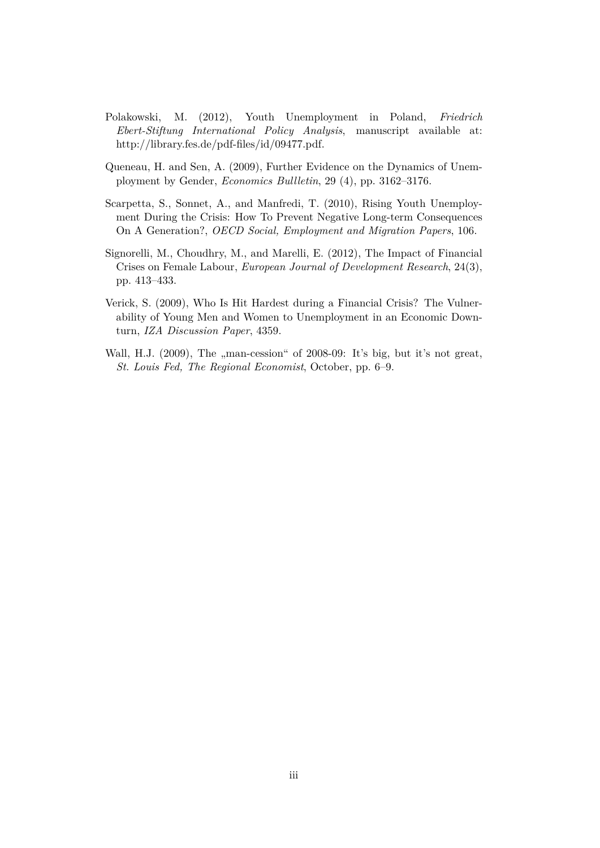- Polakowski, M. (2012), Youth Unemployment in Poland, *Friedrich Ebert-Stiftung International Policy Analysis*, manuscript available at: http://library.fes.de/pdf-files/id/09477.pdf.
- Queneau, H. and Sen, A. (2009), Further Evidence on the Dynamics of Unemployment by Gender, *Economics Bullletin*, 29 (4), pp. 3162–3176.
- Scarpetta, S., Sonnet, A., and Manfredi, T. (2010), Rising Youth Unemployment During the Crisis: How To Prevent Negative Long-term Consequences On A Generation?, *OECD Social, Employment and Migration Papers*, 106.
- Signorelli, M., Choudhry, M., and Marelli, E. (2012), The Impact of Financial Crises on Female Labour, *European Journal of Development Research*, 24(3), pp. 413–433.
- Verick, S. (2009), Who Is Hit Hardest during a Financial Crisis? The Vulnerability of Young Men and Women to Unemployment in an Economic Downturn, *IZA Discussion Paper*, 4359.
- Wall, H.J. (2009), The "man-cession" of 2008-09: It's big, but it's not great, *St. Louis Fed, The Regional Economist*, October, pp. 6–9.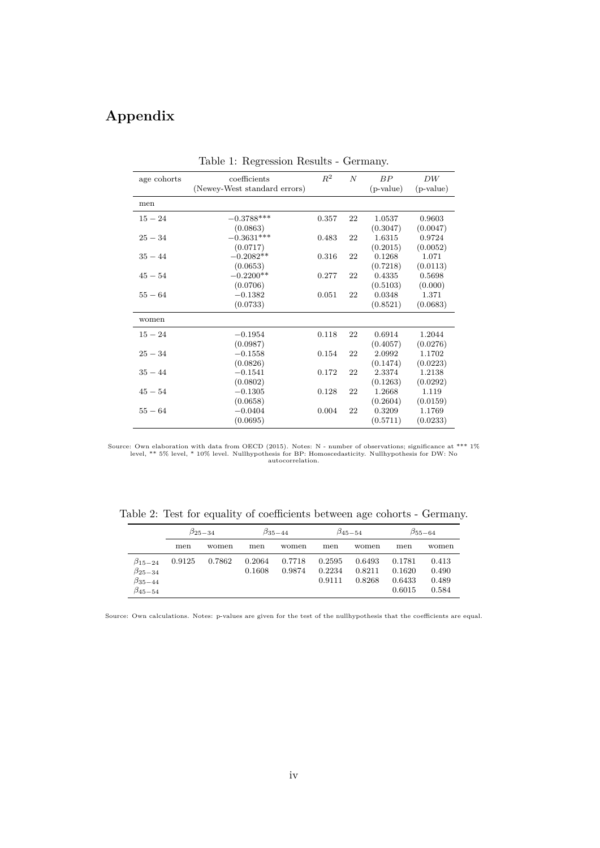## **Appendix**

| age cohorts | coefficients<br>(Newey-West standard errors) | $R^2$ | $\boldsymbol{N}$ | BP<br>$(p-value)$ | DW<br>$(p-value)$ |
|-------------|----------------------------------------------|-------|------------------|-------------------|-------------------|
| men         |                                              |       |                  |                   |                   |
| $15 - 24$   | $-0.3788***$                                 | 0.357 | 22               | 1.0537            | 0.9603            |
|             | (0.0863)                                     |       |                  | (0.3047)          | (0.0047)          |
| $25 - 34$   | $-0.3631***$                                 | 0.483 | 22               | 1.6315            | 0.9724            |
|             | (0.0717)                                     |       |                  | (0.2015)          | (0.0052)          |
| $35 - 44$   | $-0.2082**$                                  | 0.316 | 22               | 0.1268            | 1.071             |
|             | (0.0653)                                     |       |                  | (0.7218)          | (0.0113)          |
| $45 - 54$   | $-0.2200**$                                  | 0.277 | 22               | 0.4335            | 0.5698            |
|             | (0.0706)                                     |       |                  | (0.5103)          | (0.000)           |
| $55 - 64$   | $-0.1382$                                    | 0.051 | 22               | 0.0348            | 1.371             |
|             | (0.0733)                                     |       |                  | (0.8521)          | (0.0683)          |
| women       |                                              |       |                  |                   |                   |
| $15 - 24$   | $-0.1954$                                    | 0.118 | 22               | 0.6914            | 1.2044            |
|             | (0.0987)                                     |       |                  | (0.4057)          | (0.0276)          |
| $25 - 34$   | $-0.1558$                                    | 0.154 | 22               | 2.0992            | 1.1702            |
|             | (0.0826)                                     |       |                  | (0.1474)          | (0.0223)          |
| $35 - 44$   | $-0.1541$                                    | 0.172 | 22               | 2.3374            | 1.2138            |
|             | (0.0802)                                     |       |                  | (0.1263)          | (0.0292)          |
| $45 - 54$   | $-0.1305$                                    | 0.128 | 22               | 1.2668            | 1.119             |
|             | (0.0658)                                     |       |                  | (0.2604)          | (0.0159)          |
| $55 - 64$   | $-0.0404$                                    | 0.004 | 22               | 0.3209            | 1.1769            |
|             | (0.0695)                                     |       |                  | (0.5711)          | (0.0233)          |

Table 1: Regression Results - Germany.

Table 2: Test for equality of coefficients between age cohorts - Germany.

|                                                                          | $\beta_{25-34}$ |        |                  | $\beta_{35-44}$  |                            | $\beta_{45-54}$            |                                      | $\beta_{55-64}$                  |
|--------------------------------------------------------------------------|-----------------|--------|------------------|------------------|----------------------------|----------------------------|--------------------------------------|----------------------------------|
|                                                                          | men             | women  | men              | women            | men                        | women                      | men                                  | women                            |
| $\beta_{15-24}$<br>$\beta_{25-34}$<br>$\beta_{35-44}$<br>$\beta_{45-54}$ | 0.9125          | 0.7862 | 0.2064<br>0.1608 | 0.7718<br>0.9874 | 0.2595<br>0.2234<br>0.9111 | 0.6493<br>0.8211<br>0.8268 | 0.1781<br>0.1620<br>0.6433<br>0.6015 | 0.413<br>0.490<br>0.489<br>0.584 |

Source: Own calculations. Notes: p-values are given for the test of the nullhypothesis that the coefficients are equal.

Source: Own elaboration with data from OECD (2015). Notes: N - number of observations; significance at \*\*\* 1%<br>level, \*\* 5% level, \*\* 10% level. Nullhypothesis for DW: Notes: https://willhypothesis.<br>autocorrelation.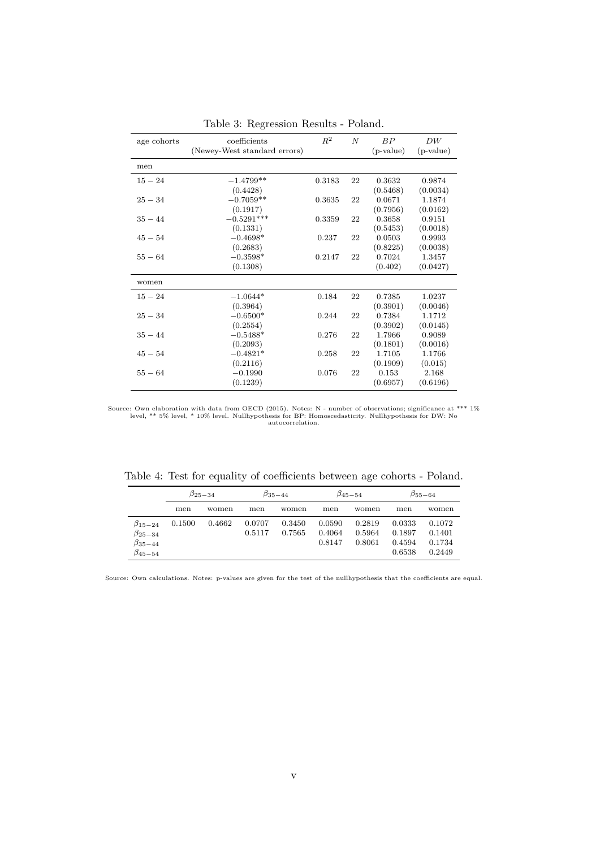| age cohorts | coefficients<br>(Newey-West standard errors) | $R^2$  | $\overline{N}$ | BP<br>$(p-value)$ | DW<br>$(p-value)$ |
|-------------|----------------------------------------------|--------|----------------|-------------------|-------------------|
|             |                                              |        |                |                   |                   |
| men         |                                              |        |                |                   |                   |
| $15 - 24$   | $-1.4799**$                                  | 0.3183 | 22             | 0.3632            | 0.9874            |
|             | (0.4428)                                     |        |                | (0.5468)          | (0.0034)          |
| $25 - 34$   | $-0.7059**$                                  | 0.3635 | 22             | 0.0671            | 1.1874            |
|             | (0.1917)                                     |        |                | (0.7956)          | (0.0162)          |
| $35 - 44$   | $-0.5291***$                                 | 0.3359 | 22             | 0.3658            | 0.9151            |
|             | (0.1331)                                     |        |                | (0.5453)          | (0.0018)          |
| $45 - 54$   | $-0.4698*$                                   | 0.237  | 22             | 0.0503            | 0.9993            |
|             | (0.2683)                                     |        |                | (0.8225)          | (0.0038)          |
| $55 - 64$   | $-0.3598*$                                   | 0.2147 | 22             | 0.7024            | 1.3457            |
|             | (0.1308)                                     |        |                | (0.402)           | (0.0427)          |
| women       |                                              |        |                |                   |                   |
| $15 - 24$   | $-1.0644*$                                   | 0.184  | 22             | 0.7385            | 1.0237            |
|             | (0.3964)                                     |        |                | (0.3901)          | (0.0046)          |
| $25 - 34$   | $-0.6500*$                                   | 0.244  | 22             | 0.7384            | 1.1712            |
|             | (0.2554)                                     |        |                | (0.3902)          | (0.0145)          |
| $35 - 44$   | $-0.5488*$                                   | 0.276  | 22             | 1.7966            | 0.9089            |
|             | (0.2093)                                     |        |                | (0.1801)          | (0.0016)          |
| $45 - 54$   | $-0.4821*$                                   | 0.258  | 22             | 1.7105            | 1.1766            |
|             | (0.2116)                                     |        |                | (0.1909)          | (0.015)           |
| $55 - 64$   | $-0.1990$                                    | 0.076  | 22             | 0.153             | 2.168             |
|             | (0.1239)                                     |        |                | (0.6957)          | (0.6196)          |

Table 3: Regression Results - Poland.

Source: Own elaboration with data from OECD (2015). Notes: N - number of observations; significance at \*\*\* 1%<br>level, \*\* 5% level, \*\* 10% level. Nullhypothesis for DW: Notes: https://willhypothesis.<br>autocorrelation.

|  |  | Table 4: Test for equality of coefficients between age cohorts - Poland. |  |  |  |
|--|--|--------------------------------------------------------------------------|--|--|--|

|                                                                          | $\beta_{25-34}$ |        |                  | $\beta_{35-44}$  |                            | $\beta_{45-54}$            |                                      | $\beta_{55-64}$                      |
|--------------------------------------------------------------------------|-----------------|--------|------------------|------------------|----------------------------|----------------------------|--------------------------------------|--------------------------------------|
|                                                                          | men             | women  | men              | women            | men                        | women                      | men                                  | women                                |
| $\beta_{15-24}$<br>$\beta_{25-34}$<br>$\beta_{35-44}$<br>$\beta_{45-54}$ | 0.1500          | 0.4662 | 0.0707<br>0.5117 | 0.3450<br>0.7565 | 0.0590<br>0.4064<br>0.8147 | 0.2819<br>0.5964<br>0.8061 | 0.0333<br>0.1897<br>0.4594<br>0.6538 | 0.1072<br>0.1401<br>0.1734<br>0.2449 |

Source: Own calculations. Notes: p-values are given for the test of the nullhypothesis that the coefficients are equal.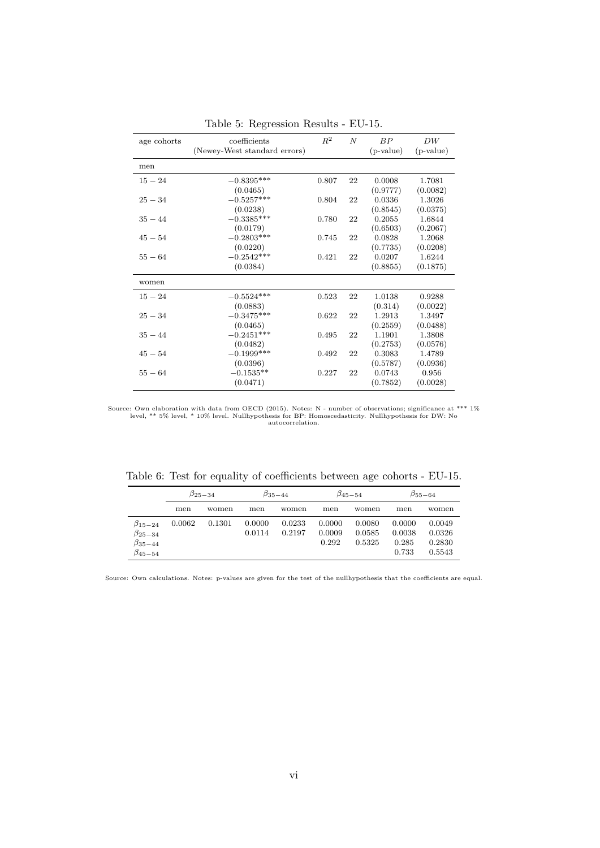| age cohorts | coefficients<br>(Newey-West standard errors) | $R^2$ | $\overline{N}$ | BP<br>$(p-value)$ | DW<br>$(p-value)$ |
|-------------|----------------------------------------------|-------|----------------|-------------------|-------------------|
| men         |                                              |       |                |                   |                   |
| $15 - 24$   | $-0.8395***$                                 | 0.807 | 22             | 0.0008            | 1.7081            |
|             | (0.0465)                                     |       |                | (0.9777)          | (0.0082)          |
| $25 - 34$   | $-0.5257***$                                 | 0.804 | 22             | 0.0336            | 1.3026            |
|             | (0.0238)                                     |       |                | (0.8545)          | (0.0375)          |
| $35 - 44$   | $-0.3385***$                                 | 0.780 | 22             | 0.2055            | 1.6844            |
|             | (0.0179)                                     |       |                | (0.6503)          | (0.2067)          |
| $45 - 54$   | $-0.2803***$                                 | 0.745 | 22             | 0.0828            | 1.2068            |
|             | (0.0220)                                     |       |                | (0.7735)          | (0.0208)          |
| $55 - 64$   | $-0.2542***$                                 | 0.421 | 22             | 0.0207            | 1.6244            |
|             | (0.0384)                                     |       |                | (0.8855)          | (0.1875)          |
| women       |                                              |       |                |                   |                   |
| $15 - 24$   | $-0.5524***$                                 | 0.523 | 22             | 1.0138            | 0.9288            |
|             | (0.0883)                                     |       |                | (0.314)           | (0.0022)          |
| $25 - 34$   | $-0.3475***$                                 | 0.622 | 22             | 1.2913            | 1.3497            |
|             | (0.0465)                                     |       |                | (0.2559)          | (0.0488)          |
| $35 - 44$   | $-0.2451***$                                 | 0.495 | 22             | 1.1901            | 1.3808            |
|             | (0.0482)                                     |       |                | (0.2753)          | (0.0576)          |
| $45 - 54$   | $-0.1999***$                                 | 0.492 | 22             | 0.3083            | 1.4789            |
|             | (0.0396)                                     |       |                | (0.5787)          | (0.0936)          |
| $55 - 64$   | $-0.1535**$                                  | 0.227 | 22             | 0.0743            | 0.956             |
|             | (0.0471)                                     |       |                | (0.7852)          | (0.0028)          |

Table 5: Regression Results - EU-15.

Source: Own elaboration with data from OECD (2015). Notes: N - number of observations; significance at \*\*\* 1% level, \*\* 5% level, \* 10% level. Nullhypothesis for BP: Homoscedasticity. Nullhypothesis for DW: No autocorrelation.

Table 6: Test for equality of coefficients between age cohorts - EU-15.

|                                                                          | $\beta_{25-34}$ |        |                  | $\beta_{35-44}$  | $\beta_{45-54}$           |                            | $\beta_{55-64}$                    |                                      |  |
|--------------------------------------------------------------------------|-----------------|--------|------------------|------------------|---------------------------|----------------------------|------------------------------------|--------------------------------------|--|
|                                                                          | men             | women  | men              | women            | men                       | women                      | men                                | women                                |  |
| $\beta_{15-24}$<br>$\beta_{25-34}$<br>$\beta_{35-44}$<br>$\beta_{45-54}$ | 0.0062          | 0.1301 | 0.0000<br>0.0114 | 0.0233<br>0.2197 | 0.0000<br>0.0009<br>0.292 | 0.0080<br>0.0585<br>0.5325 | 0.0000<br>0.0038<br>0.285<br>0.733 | 0.0049<br>0.0326<br>0.2830<br>0.5543 |  |

Source: Own calculations. Notes: p-values are given for the test of the nullhypothesis that the coefficients are equal.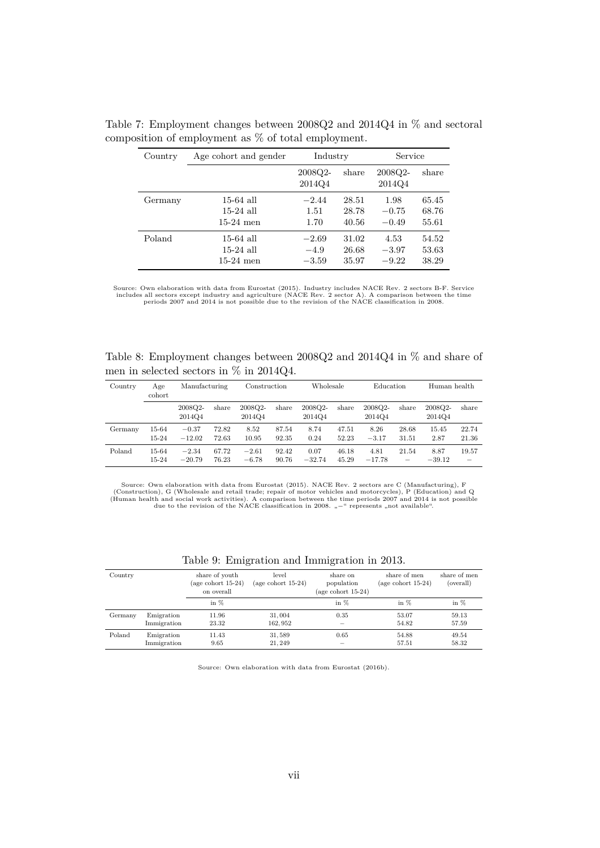| Country | Age cohort and gender | Industry          |       | Service           |       |  |
|---------|-----------------------|-------------------|-------|-------------------|-------|--|
|         |                       | 2008Q2-<br>2014Q4 | share | 2008Q2-<br>2014Q4 | share |  |
| Germany | $15-64$ all           | $-2.44$           | 28.51 | 1.98              | 65.45 |  |
|         | $15-24$ all           | 1.51              | 28.78 | $-0.75$           | 68.76 |  |
|         | $15-24$ men           | 1.70              | 40.56 | $-0.49$           | 55.61 |  |
| Poland  | $15-64$ all           | $-2.69$           | 31.02 | 4.53              | 54.52 |  |
|         | $15-24$ all           | $-4.9$            | 26.68 | $-3.97$           | 53.63 |  |
|         | $15-24$ men           | $-3.59$           | 35.97 | $-9.22$           | 38.29 |  |

Table 7: Employment changes between 2008Q2 and 2014Q4 in % and sectoral composition of employment as % of total employment.

Source: Own elaboration with data from Eurostat (2015). Industry includes NACE Rev. 2 sectors B-F. Service includes all sectors except industry and agriculture (NACE Rev. 2 sector A). A comparison between the time periods

Table 8: Employment changes between 2008Q2 and 2014Q4 in % and share of men in selected sectors in % in 2014Q4.

| Country | Age<br>cohort | Manufacturing     |       | Construction      |       | Wholesale         |       | Education         |       | Human health      |          |
|---------|---------------|-------------------|-------|-------------------|-------|-------------------|-------|-------------------|-------|-------------------|----------|
|         |               | 2008Q2-<br>2014Q4 | share | 2008Q2-<br>2014Q4 | share | 2008Q2-<br>2014Q4 | share | 2008Q2-<br>2014Q4 | share | 2008Q2-<br>2014Q4 | share    |
| Germany | 15-64         | $-0.37$           | 72.82 | 8.52              | 87.54 | 8.74              | 47.51 | 8.26              | 28.68 | 15.45             | 22.74    |
|         | 15-24         | $-12.02$          | 72.63 | 10.95             | 92.35 | 0.24              | 52.23 | $-3.17$           | 31.51 | 2.87              | 21.36    |
| Poland  | 15-64         | $-2.34$           | 67.72 | $-2.61$           | 92.42 | 0.07              | 46.18 | 4.81              | 21.54 | 8.87              | 19.57    |
|         | 15-24         | $-20.79$          | 76.23 | $-6.78$           | 90.76 | $-32.74$          | 45.29 | $-17.78$          |       | $-39.12$          | $\equiv$ |

Source: Own elaboration with data from Eurostat (2015). NACE Rev. 2 sectors are C (Manufacturing), F (Construction), G (Wholesale and retail trade; repair of motor vehicles and motorcycles), P (Education) and Q (Human health and social work activities). A comparison between the time periods 2007 and 2014 is not possible due to the revision of the NACE classification in 2008. "−" represents "not available".

| Country |                           | share of youth<br>$(\text{age cohort } 15-24)$<br>on overall | level<br>(age cohort $15-24$ ) | share on<br>population<br>(age cohort $15-24$ ) | share of men<br>(age cohort $15-24$ ) | share of men<br>(overall) |
|---------|---------------------------|--------------------------------------------------------------|--------------------------------|-------------------------------------------------|---------------------------------------|---------------------------|
|         |                           | in $%$                                                       |                                | in $%$                                          | in $%$                                | in $%$                    |
| Germany | Emigration<br>Immigration | 11.96<br>23.32                                               | 31,004<br>162.952              | 0.35                                            | 53.07<br>54.82                        | 59.13<br>57.59            |
| Poland  | Emigration<br>Immigration | 11.43<br>9.65                                                | 31,589<br>21.249               | 0.65                                            | 54.88<br>57.51                        | 49.54<br>58.32            |

Table 9: Emigration and Immigration in 2013.

Source: Own elaboration with data from Eurostat (2016b).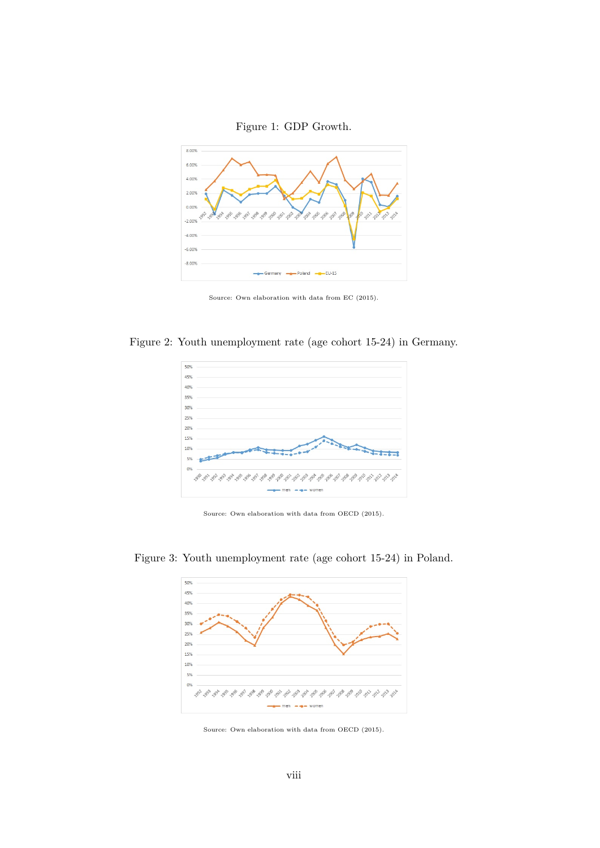



Source: Own elaboration with data from EC (2015).

Figure 2: Youth unemployment rate (age cohort 15-24) in Germany.



Source: Own elaboration with data from OECD (2015).



Figure 3: Youth unemployment rate (age cohort 15-24) in Poland.

Source: Own elaboration with data from OECD (2015).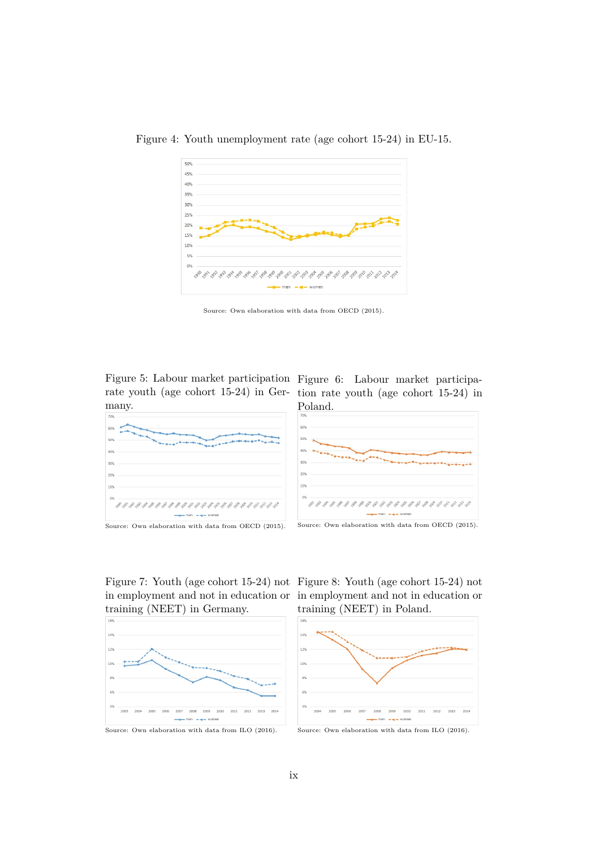

Figure 4: Youth unemployment rate (age cohort 15-24) in EU-15.

Source: Own elaboration with data from OECD (2015).

rate youth (age cohort 15-24) in Ger-tion rate youth (age cohort 15-24) in many.





Source: Own elaboration with data from OECD (2015).

Figure 7: Youth (age cohort 15-24) not Figure 8: Youth (age cohort 15-24) not in employment and not in education or in employment and not in education or training (NEET) in Poland.





Source: Own elaboration with data from ILO (2016).